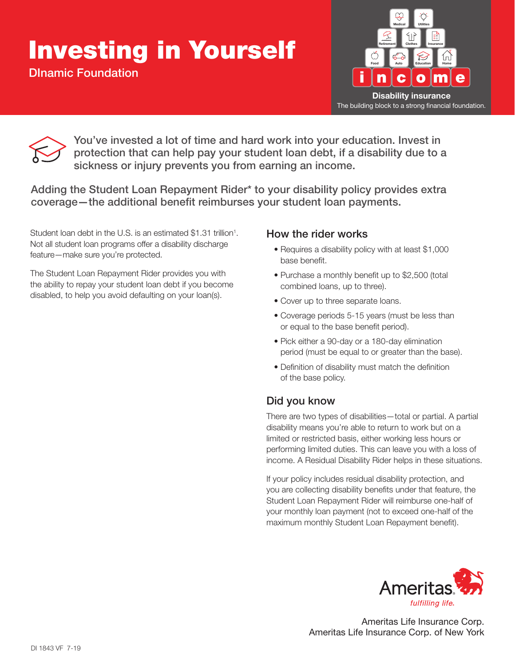## **Investing in Yourself**

DInamic Foundation





You've invested a lot of time and hard work into your education. Invest in protection that can help pay your student loan debt, if a disability due to a sickness or injury prevents you from earning an income.

Adding the Student Loan Repayment Rider\* to your disability policy provides extra coverage—the additional benefit reimburses your student loan payments.

Student loan debt in the U.S. is an estimated \$1.31 trillion<sup>1</sup>. Not all student loan programs offer a disability discharge feature—make sure you're protected.

The Student Loan Repayment Rider provides you with the ability to repay your student loan debt if you become disabled, to help you avoid defaulting on your loan(s).

## How the rider works

- Requires a disability policy with at least \$1,000 base benefit.
- Purchase a monthly benefit up to \$2,500 (total combined loans, up to three).
- Cover up to three separate loans.
- Coverage periods 5-15 years (must be less than or equal to the base benefit period).
- Pick either a 90-day or a 180-day elimination period (must be equal to or greater than the base).
- Definition of disability must match the definition of the base policy.

## Did you know

There are two types of disabilities—total or partial. A partial disability means you're able to return to work but on a limited or restricted basis, either working less hours or performing limited duties. This can leave you with a loss of income. A Residual Disability Rider helps in these situations.

If your policy includes residual disability protection, and you are collecting disability benefts under that feature, the Student Loan Repayment Rider will reimburse one-half of your monthly loan payment (not to exceed one-half of the maximum monthly Student Loan Repayment benefit).



Ameritas Life Insurance Corp. Ameritas Life Insurance Corp. of New York